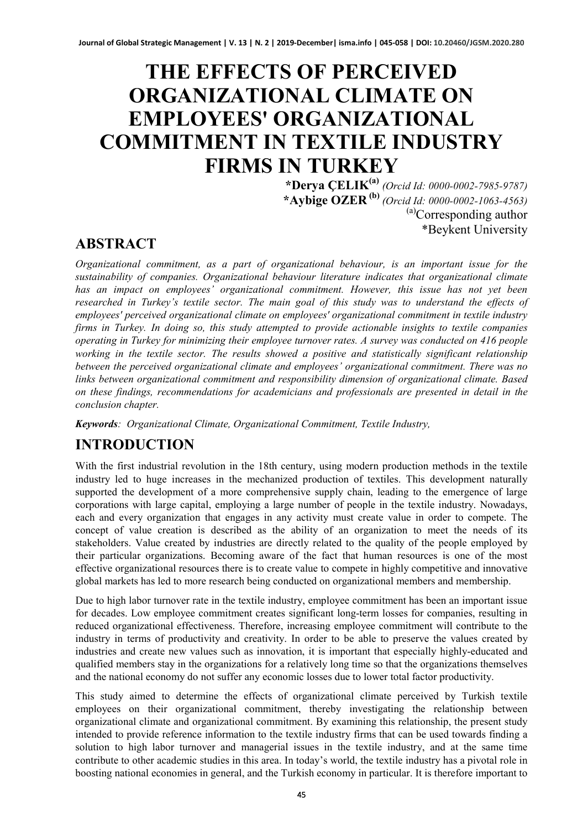# **THE EFFECTS OF PERCEIVED ORGANIZATIONAL CLIMATE ON EMPLOYEES' ORGANIZATIONAL COMMITMENT IN TEXTILE INDUSTRY FIRMS IN TURKEY**

**\*Derya ÇELIK(a)** *(Orcid Id: 0000-0002-7985-9787)* **\*Aybige OZER (b)** *(Orcid Id: 0000-0002-1063-4563)* (a)Corresponding author \*Beykent University

#### **ABSTRACT**

*Organizational commitment, as a part of organizational behaviour, is an important issue for the sustainability of companies. Organizational behaviour literature indicates that organizational climate has an impact on employees' organizational commitment. However, this issue has not yet been researched in Turkey's textile sector. The main goal of this study was to understand the effects of employees' perceived organizational climate on employees' organizational commitment in textile industry firms in Turkey. In doing so, this study attempted to provide actionable insights to textile companies operating in Turkey for minimizing their employee turnover rates. A survey was conducted on 416 people working in the textile sector. The results showed a positive and statistically significant relationship between the perceived organizational climate and employees' organizational commitment. There was no links between organizational commitment and responsibility dimension of organizational climate. Based on these findings, recommendations for academicians and professionals are presented in detail in the conclusion chapter.*

*Keywords: Organizational Climate, Organizational Commitment, Textile Industry,*

### **INTRODUCTION**

With the first industrial revolution in the 18th century, using modern production methods in the textile industry led to huge increases in the mechanized production of textiles. This development naturally supported the development of a more comprehensive supply chain, leading to the emergence of large corporations with large capital, employing a large number of people in the textile industry. Nowadays, each and every organization that engages in any activity must create value in order to compete. The concept of value creation is described as the ability of an organization to meet the needs of its stakeholders. Value created by industries are directly related to the quality of the people employed by their particular organizations. Becoming aware of the fact that human resources is one of the most effective organizational resources there is to create value to compete in highly competitive and innovative global markets has led to more research being conducted on organizational members and membership.

Due to high labor turnover rate in the textile industry, employee commitment has been an important issue for decades. Low employee commitment creates significant long-term losses for companies, resulting in reduced organizational effectiveness. Therefore, increasing employee commitment will contribute to the industry in terms of productivity and creativity. In order to be able to preserve the values created by industries and create new values such as innovation, it is important that especially highly-educated and qualified members stay in the organizations for a relatively long time so that the organizations themselves and the national economy do not suffer any economic losses due to lower total factor productivity.

This study aimed to determine the effects of organizational climate perceived by Turkish textile employees on their organizational commitment, thereby investigating the relationship between organizational climate and organizational commitment. By examining this relationship, the present study intended to provide reference information to the textile industry firms that can be used towards finding a solution to high labor turnover and managerial issues in the textile industry, and at the same time contribute to other academic studies in this area. In today's world, the textile industry has a pivotal role in boosting national economies in general, and the Turkish economy in particular. It is therefore important to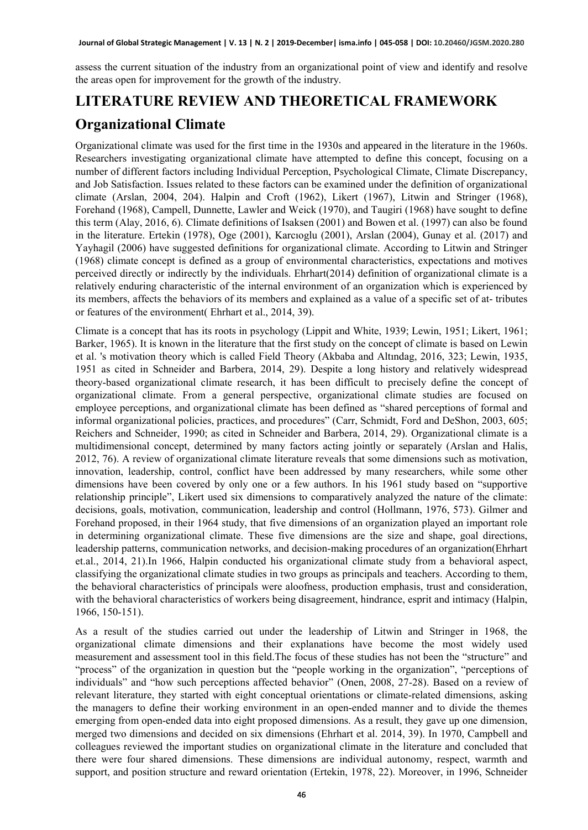assess the current situation of the industry from an organizational point of view and identify and resolve the areas open for improvement for the growth of the industry.

### **LITERATURE REVIEW AND THEORETICAL FRAMEWORK**

#### **Organizational Climate**

Organizational climate was used for the first time in the 1930s and appeared in the literature in the 1960s. Researchers investigating organizational climate have attempted to define this concept, focusing on a number of different factors including Individual Perception, Psychological Climate, Climate Discrepancy, and Job Satisfaction. Issues related to these factors can be examined under the definition of organizational climate (Arslan, 2004, 204). Halpin and Croft (1962), Likert (1967), Litwin and Stringer (1968), Forehand (1968), Campell, Dunnette, Lawler and Weick (1970), and Taugiri (1968) have sought to define this term (Alay, 2016, 6). Climate definitions of Isaksen (2001) and Bowen et al. (1997) can also be found in the literature. Ertekin (1978), Oge (2001), Karcıoglu (2001), Arslan (2004), Gunay et al. (2017) and Yayhagil (2006) have suggested definitions for organizational climate. According to Litwin and Stringer (1968) climate concept is defined as a group of environmental characteristics, expectations and motives perceived directly or indirectly by the individuals. Ehrhart(2014) definition of organizational climate is a relatively enduring characteristic of the internal environment of an organization which is experienced by its members, affects the behaviors of its members and explained as a value of a specific set of at- tributes or features of the environment( Ehrhart et al., 2014, 39).

Climate is a concept that has its roots in psychology (Lippit and White, 1939; Lewin, 1951; Likert, 1961; Barker, 1965). It is known in the literature that the first study on the concept of climate is based on Lewin et al. 's motivation theory which is called Field Theory (Akbaba and Altındag, 2016, 323; Lewin, 1935, 1951 as cited in Schneider and Barbera, 2014, 29). Despite a long history and relatively widespread theory-based organizational climate research, it has been difficult to precisely define the concept of organizational climate. From a general perspective, organizational climate studies are focused on employee perceptions, and organizational climate has been defined as "shared perceptions of formal and informal organizational policies, practices, and procedures" (Carr, Schmidt, Ford and DeShon, 2003, 605; Reichers and Schneider, 1990; as cited in Schneider and Barbera, 2014, 29). Organizational climate is a multidimensional concept, determined by many factors acting jointly or separately (Arslan and Halis, 2012, 76). A review of organizational climate literature reveals that some dimensions such as motivation, innovation, leadership, control, conflict have been addressed by many researchers, while some other dimensions have been covered by only one or a few authors. In his 1961 study based on "supportive relationship principle", Likert used six dimensions to comparatively analyzed the nature of the climate: decisions, goals, motivation, communication, leadership and control (Hollmann, 1976, 573). Gilmer and Forehand proposed, in their 1964 study, that five dimensions of an organization played an important role in determining organizational climate. These five dimensions are the size and shape, goal directions, leadership patterns, communication networks, and decision-making procedures of an organization(Ehrhart et.al., 2014, 21).In 1966, Halpin conducted his organizational climate study from a behavioral aspect, classifying the organizational climate studies in two groups as principals and teachers. According to them, the behavioral characteristics of principals were aloofness, production emphasis, trust and consideration, with the behavioral characteristics of workers being disagreement, hindrance, esprit and intimacy (Halpin, 1966, 150-151).

As a result of the studies carried out under the leadership of Litwin and Stringer in 1968, the organizational climate dimensions and their explanations have become the most widely used measurement and assessment tool in this field.The focus of these studies has not been the "structure" and "process" of the organization in question but the "people working in the organization", "perceptions of individuals" and "how such perceptions affected behavior" (Onen, 2008, 27-28). Based on a review of relevant literature, they started with eight conceptual orientations or climate-related dimensions, asking the managers to define their working environment in an open-ended manner and to divide the themes emerging from open-ended data into eight proposed dimensions. As a result, they gave up one dimension, merged two dimensions and decided on six dimensions (Ehrhart et al. 2014, 39). In 1970, Campbell and colleagues reviewed the important studies on organizational climate in the literature and concluded that there were four shared dimensions. These dimensions are individual autonomy, respect, warmth and support, and position structure and reward orientation (Ertekin, 1978, 22). Moreover, in 1996, Schneider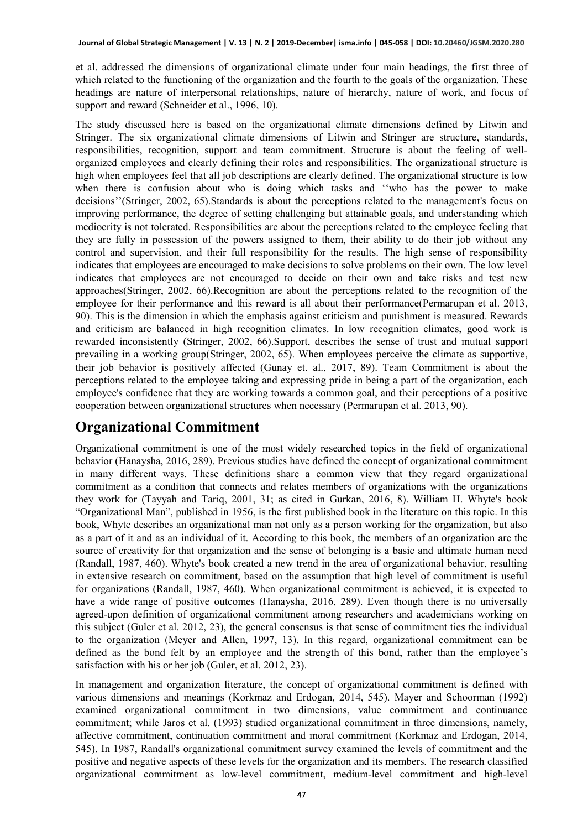et al. addressed the dimensions of organizational climate under four main headings, the first three of which related to the functioning of the organization and the fourth to the goals of the organization. These headings are nature of interpersonal relationships, nature of hierarchy, nature of work, and focus of support and reward (Schneider et al., 1996, 10).

The study discussed here is based on the organizational climate dimensions defined by Litwin and Stringer. The six organizational climate dimensions of Litwin and Stringer are structure, standards, responsibilities, recognition, support and team commitment. Structure is about the feeling of wellorganized employees and clearly defining their roles and responsibilities. The organizational structure is high when employees feel that all job descriptions are clearly defined. The organizational structure is low when there is confusion about who is doing which tasks and ''who has the power to make decisions''(Stringer, 2002, 65).Standards is about the perceptions related to the management's focus on improving performance, the degree of setting challenging but attainable goals, and understanding which mediocrity is not tolerated. Responsibilities are about the perceptions related to the employee feeling that they are fully in possession of the powers assigned to them, their ability to do their job without any control and supervision, and their full responsibility for the results. The high sense of responsibility indicates that employees are encouraged to make decisions to solve problems on their own. The low level indicates that employees are not encouraged to decide on their own and take risks and test new approaches(Stringer, 2002, 66).Recognition are about the perceptions related to the recognition of the employee for their performance and this reward is all about their performance(Permarupan et al. 2013, 90). This is the dimension in which the emphasis against criticism and punishment is measured. Rewards and criticism are balanced in high recognition climates. In low recognition climates, good work is rewarded inconsistently (Stringer, 2002, 66).Support, describes the sense of trust and mutual support prevailing in a working group(Stringer, 2002, 65). When employees perceive the climate as supportive, their job behavior is positively affected (Gunay et. al., 2017, 89). Team Commitment is about the perceptions related to the employee taking and expressing pride in being a part of the organization, each employee's confidence that they are working towards a common goal, and their perceptions of a positive cooperation between organizational structures when necessary (Permarupan et al. 2013, 90).

#### **Organizational Commitment**

Organizational commitment is one of the most widely researched topics in the field of organizational behavior (Hanaysha, 2016, 289). Previous studies have defined the concept of organizational commitment in many different ways. These definitions share a common view that they regard organizational commitment as a condition that connects and relates members of organizations with the organizations they work for (Tayyah and Tariq, 2001, 31; as cited in Gurkan, 2016, 8). William H. Whyte's book "Organizational Man", published in 1956, is the first published book in the literature on this topic. In this book, Whyte describes an organizational man not only as a person working for the organization, but also as a part of it and as an individual of it. According to this book, the members of an organization are the source of creativity for that organization and the sense of belonging is a basic and ultimate human need (Randall, 1987, 460). Whyte's book created a new trend in the area of organizational behavior, resulting in extensive research on commitment, based on the assumption that high level of commitment is useful for organizations (Randall, 1987, 460). When organizational commitment is achieved, it is expected to have a wide range of positive outcomes (Hanaysha, 2016, 289). Even though there is no universally agreed-upon definition of organizational commitment among researchers and academicians working on this subject (Guler et al. 2012, 23), the general consensus is that sense of commitment ties the individual to the organization (Meyer and Allen, 1997, 13). In this regard, organizational commitment can be defined as the bond felt by an employee and the strength of this bond, rather than the employee's satisfaction with his or her job (Guler, et al. 2012, 23).

In management and organization literature, the concept of organizational commitment is defined with various dimensions and meanings (Korkmaz and Erdogan, 2014, 545). Mayer and Schoorman (1992) examined organizational commitment in two dimensions, value commitment and continuance commitment; while Jaros et al. (1993) studied organizational commitment in three dimensions, namely, affective commitment, continuation commitment and moral commitment (Korkmaz and Erdogan, 2014, 545). In 1987, Randall's organizational commitment survey examined the levels of commitment and the positive and negative aspects of these levels for the organization and its members. The research classified organizational commitment as low-level commitment, medium-level commitment and high-level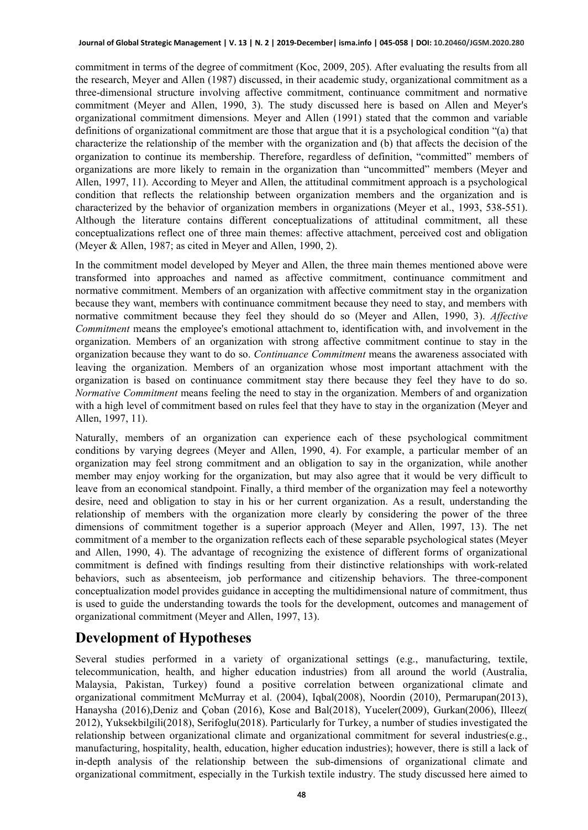commitment in terms of the degree of commitment (Koc, 2009, 205). After evaluating the results from all the research, Meyer and Allen (1987) discussed, in their academic study, organizational commitment as a three-dimensional structure involving affective commitment, continuance commitment and normative commitment (Meyer and Allen, 1990, 3). The study discussed here is based on Allen and Meyer's organizational commitment dimensions. Meyer and Allen (1991) stated that the common and variable definitions of organizational commitment are those that argue that it is a psychological condition "(a) that characterize the relationship of the member with the organization and (b) that affects the decision of the organization to continue its membership. Therefore, regardless of definition, "committed" members of organizations are more likely to remain in the organization than "uncommitted" members (Meyer and Allen, 1997, 11). According to Meyer and Allen, the attitudinal commitment approach is a psychological condition that reflects the relationship between organization members and the organization and is characterized by the behavior of organization members in organizations (Meyer et al., 1993, 538-551). Although the literature contains different conceptualizations of attitudinal commitment, all these conceptualizations reflect one of three main themes: affective attachment, perceived cost and obligation (Meyer & Allen, 1987; as cited in Meyer and Allen, 1990, 2).

In the commitment model developed by Meyer and Allen, the three main themes mentioned above were transformed into approaches and named as affective commitment, continuance commitment and normative commitment. Members of an organization with affective commitment stay in the organization because they want, members with continuance commitment because they need to stay, and members with normative commitment because they feel they should do so (Meyer and Allen, 1990, 3). *Affective Commitment* means the employee's emotional attachment to, identification with, and involvement in the organization. Members of an organization with strong affective commitment continue to stay in the organization because they want to do so. *Continuance Commitment* means the awareness associated with leaving the organization. Members of an organization whose most important attachment with the organization is based on continuance commitment stay there because they feel they have to do so. *Normative Commitment* means feeling the need to stay in the organization. Members of and organization with a high level of commitment based on rules feel that they have to stay in the organization (Meyer and Allen, 1997, 11).

Naturally, members of an organization can experience each of these psychological commitment conditions by varying degrees (Meyer and Allen, 1990, 4). For example, a particular member of an organization may feel strong commitment and an obligation to say in the organization, while another member may enjoy working for the organization, but may also agree that it would be very difficult to leave from an economical standpoint. Finally, a third member of the organization may feel a noteworthy desire, need and obligation to stay in his or her current organization. As a result, understanding the relationship of members with the organization more clearly by considering the power of the three dimensions of commitment together is a superior approach (Meyer and Allen, 1997, 13). The net commitment of a member to the organization reflects each of these separable psychological states (Meyer and Allen, 1990, 4). The advantage of recognizing the existence of different forms of organizational commitment is defined with findings resulting from their distinctive relationships with work-related behaviors, such as absenteeism, job performance and citizenship behaviors. The three-component conceptualization model provides guidance in accepting the multidimensional nature of commitment, thus is used to guide the understanding towards the tools for the development, outcomes and management of organizational commitment (Meyer and Allen, 1997, 13).

#### **Development of Hypotheses**

Several studies performed in a variety of organizational settings (e.g., manufacturing, textile, telecommunication, health, and higher education industries) from all around the world (Australia, Malaysia, Pakistan, Turkey) found a positive correlation between organizational climate and organizational commitment McMurray et al. (2004), Iqbal(2008), Noordin (2010), Permarupan(2013), Hanaysha (2016),Deniz and Çoban (2016), Kose and Bal(2018), Yuceler(2009), Gurkan(2006), Illeez( 2012), Yuksekbilgili(2018), Serifoglu(2018). Particularly for Turkey, a number of studies investigated the relationship between organizational climate and organizational commitment for several industries(e.g., manufacturing, hospitality, health, education, higher education industries); however, there is still a lack of in-depth analysis of the relationship between the sub-dimensions of organizational climate and organizational commitment, especially in the Turkish textile industry. The study discussed here aimed to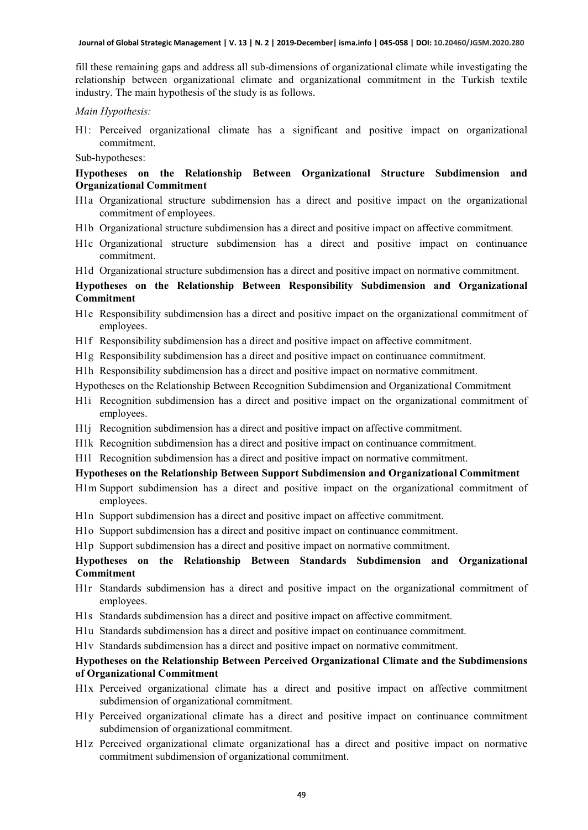fill these remaining gaps and address all sub-dimensions of organizational climate while investigating the relationship between organizational climate and organizational commitment in the Turkish textile industry. The main hypothesis of the study is as follows.

*Main Hypothesis:*

H1: Perceived organizational climate has a significant and positive impact on organizational commitment.

Sub-hypotheses:

#### **Hypotheses on the Relationship Between Organizational Structure Subdimension and Organizational Commitment**

- H1a Organizational structure subdimension has a direct and positive impact on the organizational commitment of employees.
- H1b Organizational structure subdimension has a direct and positive impact on affective commitment.
- H1c Organizational structure subdimension has a direct and positive impact on continuance commitment.
- H1d Organizational structure subdimension has a direct and positive impact on normative commitment.

#### **Hypotheses on the Relationship Between Responsibility Subdimension and Organizational Commitment**

- H1e Responsibility subdimension has a direct and positive impact on the organizational commitment of employees.
- H1f Responsibility subdimension has a direct and positive impact on affective commitment.
- H1g Responsibility subdimension has a direct and positive impact on continuance commitment.
- H1h Responsibility subdimension has a direct and positive impact on normative commitment.
- Hypotheses on the Relationship Between Recognition Subdimension and Organizational Commitment
- H1i Recognition subdimension has a direct and positive impact on the organizational commitment of employees.
- H1j Recognition subdimension has a direct and positive impact on affective commitment.
- H1k Recognition subdimension has a direct and positive impact on continuance commitment.
- H1l Recognition subdimension has a direct and positive impact on normative commitment.

#### **Hypotheses on the Relationship Between Support Subdimension and Organizational Commitment**

- H1m Support subdimension has a direct and positive impact on the organizational commitment of employees.
- H1n Support subdimension has a direct and positive impact on affective commitment.
- H1o Support subdimension has a direct and positive impact on continuance commitment.
- H1p Support subdimension has a direct and positive impact on normative commitment.

#### **Hypotheses on the Relationship Between Standards Subdimension and Organizational Commitment**

- H1r Standards subdimension has a direct and positive impact on the organizational commitment of employees.
- H1s Standards subdimension has a direct and positive impact on affective commitment.
- H1u Standards subdimension has a direct and positive impact on continuance commitment.
- H1v Standards subdimension has a direct and positive impact on normative commitment.

#### **Hypotheses on the Relationship Between Perceived Organizational Climate and the Subdimensions of Organizational Commitment**

- H1x Perceived organizational climate has a direct and positive impact on affective commitment subdimension of organizational commitment.
- H1y Perceived organizational climate has a direct and positive impact on continuance commitment subdimension of organizational commitment.
- H1z Perceived organizational climate organizational has a direct and positive impact on normative commitment subdimension of organizational commitment.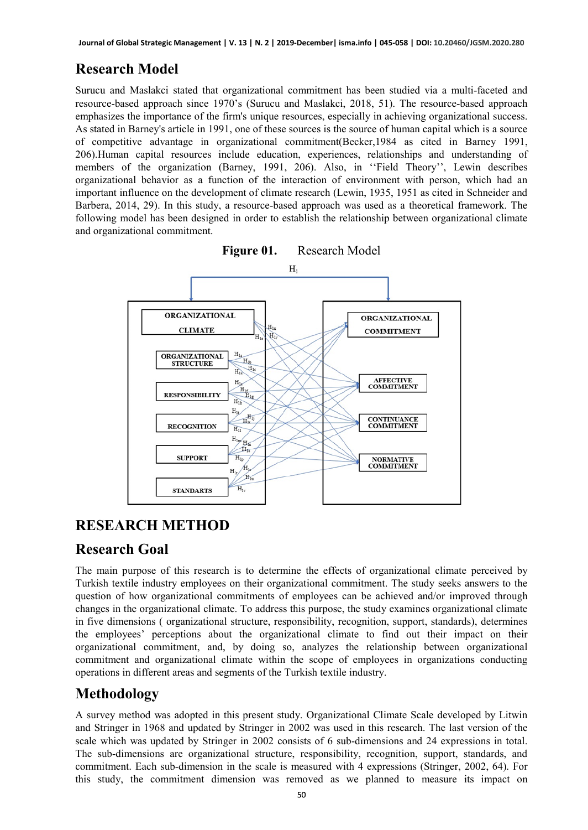## **Research Model**

Surucu and Maslakci stated that organizational commitment has been studied via a multi-faceted and resource-based approach since 1970's (Surucu and Maslakci, 2018, 51). The resource-based approach emphasizes the importance of the firm's unique resources, especially in achieving organizational success. As stated in Barney's article in 1991, one of these sources is the source of human capital which is a source of competitive advantage in organizational commitment(Becker,1984 as cited in Barney 1991, 206).Human capital resources include education, experiences, relationships and understanding of members of the organization (Barney, 1991, 206). Also, in ''Field Theory'', Lewin describes organizational behavior as a function of the interaction of environment with person, which had an important influence on the development of climate research (Lewin, 1935, 1951 as cited in Schneider and Barbera, 2014, 29). In this study, a resource-based approach was used as a theoretical framework. The following model has been designed in order to establish the relationship between organizational climate and organizational commitment.



### **RESEARCH METHOD**

#### **Research Goal**

The main purpose of this research is to determine the effects of organizational climate perceived by Turkish textile industry employees on their organizational commitment. The study seeks answers to the question of how organizational commitments of employees can be achieved and/or improved through changes in the organizational climate. To address this purpose, the study examines organizational climate in five dimensions ( organizational structure, responsibility, recognition, support, standards), determines the employees' perceptions about the organizational climate to find out their impact on their organizational commitment, and, by doing so, analyzes the relationship between organizational commitment and organizational climate within the scope of employees in organizations conducting operations in different areas and segments of the Turkish textile industry.

#### **Methodology**

A survey method was adopted in this present study. Organizational Climate Scale developed by Litwin and Stringer in 1968 and updated by Stringer in 2002 was used in this research. The last version of the scale which was updated by Stringer in 2002 consists of 6 sub-dimensions and 24 expressions in total. The sub-dimensions are organizational structure, responsibility, recognition, support, standards, and commitment. Each sub-dimension in the scale is measured with 4 expressions (Stringer, 2002, 64). For this study, the commitment dimension was removed as we planned to measure its impact on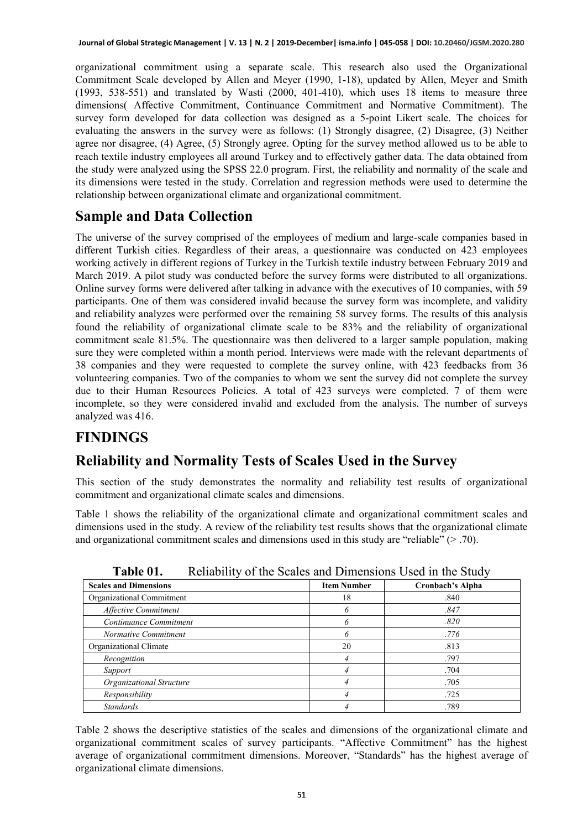organizational commitment using a separate scale. This research also used the Organizational Commitment Scale developed by Allen and Meyer (1990, 1-18), updated by Allen, Meyer and Smith (1993, 538-551) and translated by Wasti (2000, 401-410), which uses 18 items to measure three dimensions( Affective Commitment, Continuance Commitment and Normative Commitment). The survey form developed for data collection was designed as a 5-point Likert scale. The choices for evaluating the answers in the survey were as follows: (1) Strongly disagree, (2) Disagree, (3) Neither agree nor disagree, (4) Agree, (5) Strongly agree. Opting for the survey method allowed us to be able to reach textile industry employees all around Turkey and to effectively gather data. The data obtained from the study were analyzed using the SPSS 22.0 program. First, the reliability and normality of the scale and its dimensions were tested in the study. Correlation and regression methods were used to determine the relationship between organizational climate and organizational commitment.

### **Sample and Data Collection**

The universe of the survey comprised of the employees of medium and large-scale companies based in different Turkish cities. Regardless of their areas, a questionnaire was conducted on 423 employees working actively in different regions of Turkey in the Turkish textile industry between February 2019 and March 2019. A pilot study was conducted before the survey forms were distributed to all organizations. Online survey forms were delivered after talking in advance with the executives of 10 companies, with 59 participants. One of them was considered invalid because the survey form was incomplete, and validity and reliability analyzes were performed over the remaining 58 survey forms. The results of this analysis found the reliability of organizational climate scale to be 83% and the reliability of organizational commitment scale 81.5%. The questionnaire was then delivered to a larger sample population, making sure they were completed within a month period. Interviews were made with the relevant departments of 38 companies and they were requested to complete the survey online, with 423 feedbacks from 36 volunteering companies. Two of the companies to whom we sent the survey did not complete the survey due to their Human Resources Policies. A total of 423 surveys were completed. 7 of them were incomplete, so they were considered invalid and excluded from the analysis. The number of surveys analyzed was 416.

### **FINDINGS**

#### **Reliability and Normality Tests of Scales Used in the Survey**

This section of the study demonstrates the normality and reliability test results of organizational commitment and organizational climate scales and dimensions.

Table 1 shows the reliability of the organizational climate and organizational commitment scales and dimensions used in the study. A review of the reliability test results shows that the organizational climate and organizational commitment scales and dimensions used in this study are "reliable" (> .70).

| <b>Scales and Dimensions</b> | <b>Item Number</b> | <b>Cronbach's Alpha</b> |
|------------------------------|--------------------|-------------------------|
| Organizational Commitment    | 18                 | .840                    |
| <b>Affective Commitment</b>  | n                  | .847                    |
| Continuance Commitment       |                    | .820                    |
| Normative Commitment         |                    | .776                    |
| Organizational Climate       | 20                 | .813                    |
| Recognition                  |                    | .797                    |
| Support                      |                    | .704                    |
| Organizational Structure     |                    | .705                    |
| Responsibility               |                    | .725                    |
| <b>Standards</b>             |                    | .789                    |

**Table 01.** •• Reliability of the Scales and Dimensions Used in the Study

Table 2 shows the descriptive statistics of the scales and dimensions of the organizational climate and organizational commitment scales of survey participants. "Affective Commitment" has the highest average of organizational commitment dimensions. Moreover, "Standards" has the highest average of organizational climate dimensions.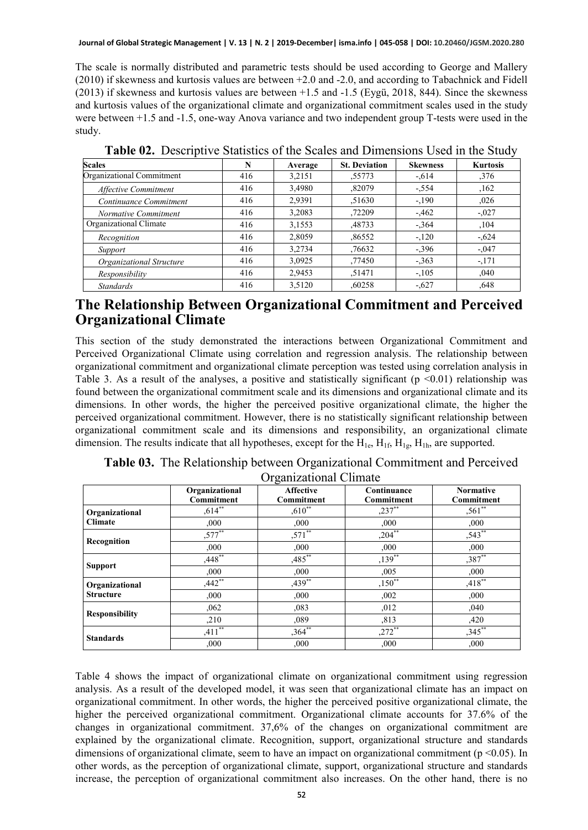The scale is normally distributed and parametric tests should be used according to George and Mallery (2010) if skewness and kurtosis values are between +2.0 and -2.0, and according to Tabachnick and Fidell (2013) if skewness and kurtosis values are between +1.5 and -1.5 (Eygü, 2018, 844). Since the skewness and kurtosis values of the organizational climate and organizational commitment scales used in the study were between +1.5 and -1.5, one-way Anova variance and two independent group T-tests were used in the study.

| <b>Scales</b>               | N   | Average | <b>St. Deviation</b> | <b>Skewness</b> | <b>Kurtosis</b> |
|-----------------------------|-----|---------|----------------------|-----------------|-----------------|
| Organizational Commitment   | 416 | 3,2151  | .55773               | $-.614$         | ,376            |
| <b>Affective Commitment</b> | 416 | 3,4980  | ,82079               | $-.554$         | ,162            |
| Continuance Commitment      | 416 | 2,9391  | .51630               | $-.190$         | 0.026           |
| Normative Commitment        | 416 | 3,2083  | ,72209               | $-462$          | $-.027$         |
| Organizational Climate      | 416 | 3,1553  | ,48733               | $-.364$         | ,104            |
| Recognition                 | 416 | 2.8059  | ,86552               | $-.120$         | $-.624$         |
| Support                     | 416 | 3.2734  | .76632               | $-.396$         | $-.047$         |
| Organizational Structure    | 416 | 3.0925  | ,77450               | $-.363$         | $-.171$         |
| Responsibility              | 416 | 2.9453  | .51471               | $-.105$         | .040            |
| <b>Standards</b>            | 416 | 3.5120  | ,60258               | $-.627$         | .648            |

**Table 02.** Descriptive Statistics of the Scales and Dimensions Used in the Study

#### **The Relationship Between Organizational Commitment and Perceived Organizational Climate**

This section of the study demonstrated the interactions between Organizational Commitment and Perceived Organizational Climate using correlation and regression analysis. The relationship between organizational commitment and organizational climate perception was tested using correlation analysis in Table 3. As a result of the analyses, a positive and statistically significant ( $p \le 0.01$ ) relationship was found between the organizational commitment scale and its dimensions and organizational climate and its dimensions. In other words, the higher the perceived positive organizational climate, the higher the perceived organizational commitment. However, there is no statistically significant relationship between organizational commitment scale and its dimensions and responsibility, an organizational climate dimension. The results indicate that all hypotheses, except for the  $H_{1e}$ ,  $H_{1f}$ ,  $H_{1g}$ ,  $H_{1h}$ , are supported.

|                       |                              | $\mathcal{L}_{\mathbf{A}}$ , and $\mathcal{L}_{\mathbf{A}}$ and $\mathcal{L}_{\mathbf{A}}$ and $\mathcal{L}_{\mathbf{A}}$ |                                  |                                |
|-----------------------|------------------------------|---------------------------------------------------------------------------------------------------------------------------|----------------------------------|--------------------------------|
|                       | Organizational<br>Commitment | <b>Affective</b><br>Commitment                                                                                            | Continuance<br><b>Commitment</b> | <b>Normative</b><br>Commitment |
| Organizational        | $,614$ **                    | $,610^{**}$                                                                                                               | $,237***$                        | $,561$ **                      |
| <b>Climate</b>        | ,000                         | ,000                                                                                                                      | ,000                             | ,000                           |
| Recognition           | $,577***$                    | $,571$ **                                                                                                                 | $,204$ **                        | $,543$ **                      |
|                       | ,000                         | ,000                                                                                                                      | ,000                             | ,000                           |
| <b>Support</b>        | $,448$ **                    | $,485$ **                                                                                                                 | $,139$ **                        | ,387**                         |
|                       | ,000                         | ,000                                                                                                                      | ,005                             | ,000                           |
| Organizational        | $,442$ **                    | $,439**$                                                                                                                  | $,150^{**}$                      | $,418**$                       |
| <b>Structure</b>      | ,000                         | ,000                                                                                                                      | ,002                             | ,000                           |
| <b>Responsibility</b> | ,062                         | ,083                                                                                                                      | ,012                             | ,040                           |
|                       | ,210                         | ,089                                                                                                                      | ,813                             | ,420                           |
| <b>Standards</b>      | $,411***$                    | $,364$ **                                                                                                                 | $,272$ **                        | $,345***$                      |
|                       | ,000                         | ,000                                                                                                                      | ,000                             | ,000                           |

**Table 03.** The Relationship between Organizational Commitment and Perceived Organizational Climate

Table 4 shows the impact of organizational climate on organizational commitment using regression analysis. As a result of the developed model, it was seen that organizational climate has an impact on organizational commitment. In other words, the higher the perceived positive organizational climate, the higher the perceived organizational commitment. Organizational climate accounts for 37.6% of the changes in organizational commitment. 37,6% of the changes on organizational commitment are explained by the organizational climate. Recognition, support, organizational structure and standards dimensions of organizational climate, seem to have an impact on organizational commitment (p <0.05). In other words, as the perception of organizational climate, support, organizational structure and standards increase, the perception of organizational commitment also increases. On the other hand, there is no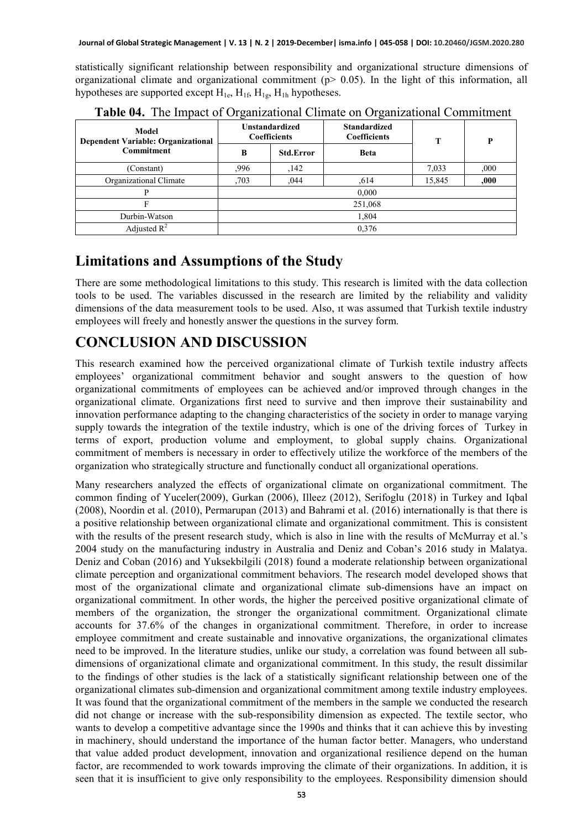statistically significant relationship between responsibility and organizational structure dimensions of organizational climate and organizational commitment ( $p > 0.05$ ). In the light of this information, all hypotheses are supported except  $H_{1e}$ ,  $H_{1f}$ ,  $H_{1g}$ ,  $H_{1h}$  hypotheses.

| Model<br><b>Dependent Variable: Organizational</b><br><b>Commitment</b> | <b>Unstandardized</b><br><b>Coefficients</b> |                  | <b>Standardized</b><br>Coefficients | T      | P    |
|-------------------------------------------------------------------------|----------------------------------------------|------------------|-------------------------------------|--------|------|
|                                                                         | B                                            | <b>Std.Error</b> | <b>Beta</b>                         |        |      |
| (Constant)                                                              | .996                                         | ,142             |                                     | 7,033  | ,000 |
| Organizational Climate                                                  | .703                                         | .044             | .614                                | 15,845 | ,000 |
|                                                                         | 0.000                                        |                  |                                     |        |      |
|                                                                         | 251,068                                      |                  |                                     |        |      |
| Durbin-Watson                                                           | 1,804                                        |                  |                                     |        |      |
| Adjusted $R^2$                                                          | 0.376                                        |                  |                                     |        |      |

**Table 04.** The Impact of Organizational Climate on Organizational Commitment

#### **Limitations and Assumptions of the Study**

There are some methodological limitations to this study. This research is limited with the data collection tools to be used. The variables discussed in the research are limited by the reliability and validity dimensions of the data measurement tools to be used. Also, ıt was assumed that Turkish textile industry employees will freely and honestly answer the questions in the survey form.

#### **CONCLUSION AND DISCUSSION**

This research examined how the perceived organizational climate of Turkish textile industry affects employees' organizational commitment behavior and sought answers to the question of how organizational commitments of employees can be achieved and/or improved through changes in the organizational climate. Organizations first need to survive and then improve their sustainability and innovation performance adapting to the changing characteristics of the society in order to manage varying supply towards the integration of the textile industry, which is one of the driving forces of Turkey in terms of export, production volume and employment, to global supply chains. Organizational commitment of members is necessary in order to effectively utilize the workforce of the members of the organization who strategically structure and functionally conduct all organizational operations.

Many researchers analyzed the effects of organizational climate on organizational commitment. The common finding of Yuceler(2009), Gurkan (2006), Illeez (2012), Serifoglu (2018) in Turkey and Iqbal (2008), Noordin et al. (2010), Permarupan (2013) and Bahrami et al. (2016) internationally is that there is a positive relationship between organizational climate and organizational commitment. This is consistent with the results of the present research study, which is also in line with the results of McMurray et al.'s 2004 study on the manufacturing industry in Australia and Deniz and Coban's 2016 study in Malatya. Deniz and Coban (2016) and Yuksekbilgili (2018) found a moderate relationship between organizational climate perception and organizational commitment behaviors. The research model developed shows that most of the organizational climate and organizational climate sub-dimensions have an impact on organizational commitment. In other words, the higher the perceived positive organizational climate of members of the organization, the stronger the organizational commitment. Organizational climate accounts for 37.6% of the changes in organizational commitment. Therefore, in order to increase employee commitment and create sustainable and innovative organizations, the organizational climates need to be improved. In the literature studies, unlike our study, a correlation was found between all subdimensions of organizational climate and organizational commitment. In this study, the result dissimilar to the findings of other studies is the lack of a statistically significant relationship between one of the organizational climates sub-dimension and organizational commitment among textile industry employees. It was found that the organizational commitment of the members in the sample we conducted the research did not change or increase with the sub-responsibility dimension as expected. The textile sector, who wants to develop a competitive advantage since the 1990s and thinks that it can achieve this by investing in machinery, should understand the importance of the human factor better. Managers, who understand that value added product development, innovation and organizational resilience depend on the human factor, are recommended to work towards improving the climate of their organizations. In addition, it is seen that it is insufficient to give only responsibility to the employees. Responsibility dimension should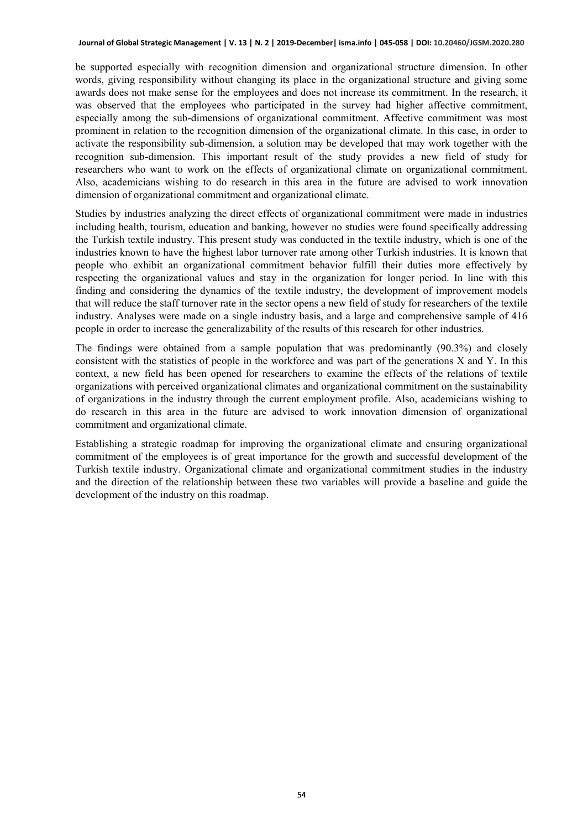#### **Journal of Global Strategic Management | V. 13 | N. 2 | 2019-December| isma.info | 045-058 | DOI: 10.20460/JGSM.2020.280**

be supported especially with recognition dimension and organizational structure dimension. In other words, giving responsibility without changing its place in the organizational structure and giving some awards does not make sense for the employees and does not increase its commitment. In the research, it was observed that the employees who participated in the survey had higher affective commitment, especially among the sub-dimensions of organizational commitment. Affective commitment was most prominent in relation to the recognition dimension of the organizational climate. In this case, in order to activate the responsibility sub-dimension, a solution may be developed that may work together with the recognition sub-dimension. This important result of the study provides a new field of study for researchers who want to work on the effects of organizational climate on organizational commitment. Also, academicians wishing to do research in this area in the future are advised to work innovation dimension of organizational commitment and organizational climate.

Studies by industries analyzing the direct effects of organizational commitment were made in industries including health, tourism, education and banking, however no studies were found specifically addressing the Turkish textile industry. This present study was conducted in the textile industry, which is one of the industries known to have the highest labor turnover rate among other Turkish industries. It is known that people who exhibit an organizational commitment behavior fulfill their duties more effectively by respecting the organizational values and stay in the organization for longer period. In line with this finding and considering the dynamics of the textile industry, the development of improvement models that will reduce the staff turnover rate in the sector opens a new field of study for researchers of the textile industry. Analyses were made on a single industry basis, and a large and comprehensive sample of 416 people in order to increase the generalizability of the results of this research for other industries.

The findings were obtained from a sample population that was predominantly (90.3%) and closely consistent with the statistics of people in the workforce and was part of the generations X and Y. In this context, a new field has been opened for researchers to examine the effects of the relations of textile organizations with perceived organizational climates and organizational commitment on the sustainability of organizations in the industry through the current employment profile. Also, academicians wishing to do research in this area in the future are advised to work innovation dimension of organizational commitment and organizational climate.

Establishing a strategic roadmap for improving the organizational climate and ensuring organizational commitment of the employees is of great importance for the growth and successful development of the Turkish textile industry. Organizational climate and organizational commitment studies in the industry and the direction of the relationship between these two variables will provide a baseline and guide the development of the industry on this roadmap.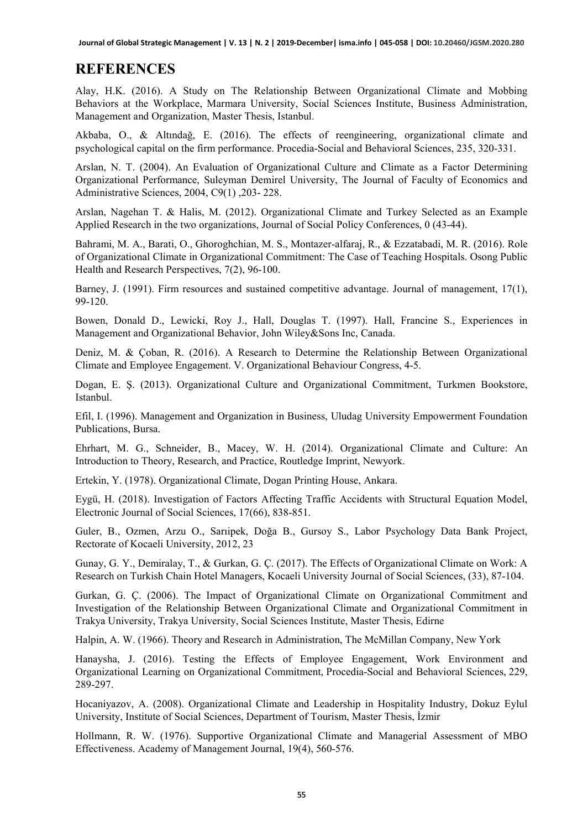#### **REFERENCES**

Alay, H.K. (2016). A Study on The Relationship Between Organizational Climate and Mobbing Behaviors at the Workplace, Marmara University, Social Sciences Institute, Business Administration, Management and Organization, Master Thesis, Istanbul.

Akbaba, O., & Altındağ, E. (2016). The effects of reengineering, organizational climate and psychological capital on the firm performance. Procedia-Social and Behavioral Sciences, 235, 320-331.

Arslan, N. T. (2004). An Evaluation of Organizational Culture and Climate as a Factor Determining Organizational Performance, Suleyman Demirel University, The Journal of Faculty of Economics and Administrative Sciences, 2004, C9(1) ,203- 228.

Arslan, Nagehan T. & Halis, M. (2012). Organizational Climate and Turkey Selected as an Example Applied Research in the two organizations, Journal of Social Policy Conferences, 0 (43-44).

Bahrami, M. A., Barati, O., Ghoroghchian, M. S., Montazer-alfaraj, R., & Ezzatabadi, M. R. (2016). Role of Organizational Climate in Organizational Commitment: The Case of Teaching Hospitals. Osong Public Health and Research Perspectives, 7(2), 96-100.

Barney, J. (1991). Firm resources and sustained competitive advantage. Journal of management, 17(1), 99-120.

Bowen, Donald D., Lewicki, Roy J., Hall, Douglas T. (1997). Hall, Francine S., Experiences in Management and Organizational Behavior, John Wiley&Sons Inc, Canada.

Deniz, M. & Çoban, R. (2016). A Research to Determine the Relationship Between Organizational Climate and Employee Engagement. V. Organizational Behaviour Congress, 4-5.

Dogan, E. Ş. (2013). Organizational Culture and Organizational Commitment, Turkmen Bookstore, Istanbul.

Efil, I. (1996). Management and Organization in Business, Uludag University Empowerment Foundation Publications, Bursa.

Ehrhart, M. G., Schneider, B., Macey, W. H. (2014). Organizational Climate and Culture: An Introduction to Theory, Research, and Practice, Routledge Imprint, Newyork.

Ertekin, Y. (1978). Organizational Climate, Dogan Printing House, Ankara.

Eygü, H. (2018). Investigation of Factors Affecting Traffic Accidents with Structural Equation Model, Electronic Journal of Social Sciences, 17(66), 838-851.

Guler, B., Ozmen, Arzu O., Sarıipek, Doğa B., Gursoy S., Labor Psychology Data Bank Project, Rectorate of Kocaeli University, 2012, 23

Gunay, G. Y., Demiralay, T., & Gurkan, G. Ç. (2017). The Effects of Organizational Climate on Work: A Research on Turkish Chain Hotel Managers, Kocaeli University Journal of Social Sciences, (33), 87-104.

Gurkan, G. Ç. (2006). The Impact of Organizational Climate on Organizational Commitment and Investigation of the Relationship Between Organizational Climate and Organizational Commitment in Trakya University, Trakya University, Social Sciences Institute, Master Thesis, Edirne

Halpin, A. W. (1966). Theory and Research in Administration, The McMillan Company, New York

Hanaysha, J. (2016). Testing the Effects of Employee Engagement, Work Environment and Organizational Learning on Organizational Commitment, Procedia-Social and Behavioral Sciences, 229, 289-297.

Hocaniyazov, A. (2008). Organizational Climate and Leadership in Hospitality Industry, Dokuz Eylul University, Institute of Social Sciences, Department of Tourism, Master Thesis, İzmir

Hollmann, R. W. (1976). Supportive Organizational Climate and Managerial Assessment of MBO Effectiveness. Academy of Management Journal, 19(4), 560-576.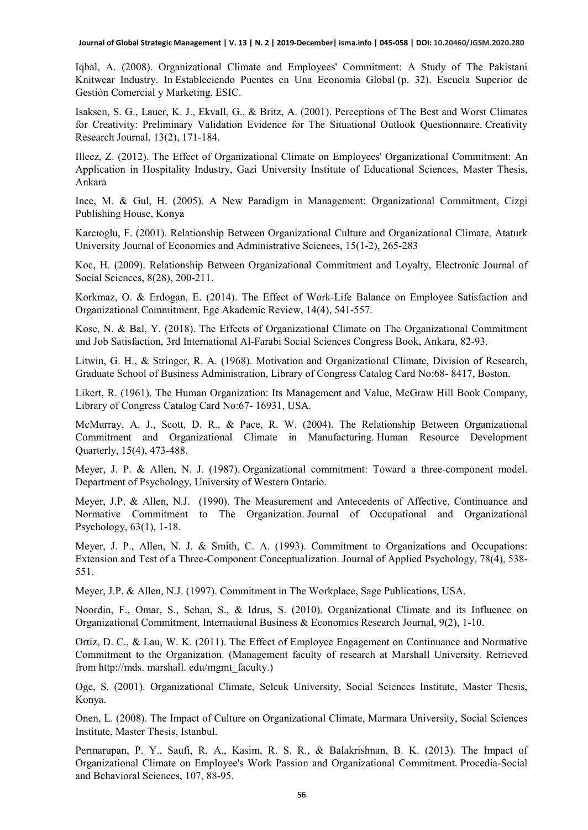Iqbal, A. (2008). Organizational Climate and Employees' Commitment: A Study of The Pakistani Knitwear Industry. In Estableciendo Puentes en Una Economía Global (p. 32). Escuela Superior de Gestión Comercial y Marketing, ESIC.

Isaksen, S. G., Lauer, K. J., Ekvall, G., & Britz, A. (2001). Perceptions of The Best and Worst Climates for Creativity: Preliminary Validation Evidence for The Situational Outlook Questionnaire. Creativity Research Journal, 13(2), 171-184.

Illeez, Z. (2012). The Effect of Organizational Climate on Employees' Organizational Commitment: An Application in Hospitality Industry, Gazi University Institute of Educational Sciences, Master Thesis, Ankara

Ince, M. & Gul, H. (2005). A New Paradigm in Management: Organizational Commitment, Cizgi Publishing House, Konya

Karcıoglu, F. (2001). Relationship Between Organizational Culture and Organizational Climate, Ataturk University Journal of Economics and Administrative Sciences, 15(1-2), 265-283

Koc, H. (2009). Relationship Between Organizational Commitment and Loyalty, Electronic Journal of Social Sciences, 8(28), 200-211.

Korkmaz, O. & Erdogan, E. (2014). The Effect of Work-Life Balance on Employee Satisfaction and Organizational Commitment, Ege Akademic Review, 14(4), 541-557.

Kose, N. & Bal, Y. (2018). The Effects of Organizational Climate on The Organizational Commitment and Job Satisfaction, 3rd International Al-Farabi Social Sciences Congress Book, Ankara, 82-93.

Litwin, G. H., & Stringer, R. A. (1968). Motivation and Organizational Climate, Division of Research, Graduate School of Business Administration, Library of Congress Catalog Card No:68- 8417, Boston.

Likert, R. (1961). The Human Organization: Its Management and Value, McGraw Hill Book Company, Library of Congress Catalog Card No:67- 16931, USA.

McMurray, A. J., Scott, D. R., & Pace, R. W. (2004). The Relationship Between Organizational Commitment and Organizational Climate in Manufacturing. Human Resource Development Quarterly, 15(4), 473-488.

Meyer, J. P. & Allen, N. J. (1987). Organizational commitment: Toward a three-component model. Department of Psychology, University of Western Ontario.

Meyer, J.P. & Allen, N.J. (1990). The Measurement and Antecedents of Affective, Continuance and Normative Commitment to The Organization. Journal of Occupational and Organizational Psychology, 63(1), 1-18.

Meyer, J. P., Allen, N. J. & Smith, C. A. (1993). Commitment to Organizations and Occupations: Extension and Test of a Three-Component Conceptualization. Journal of Applied Psychology, 78(4), 538- 551.

Meyer, J.P. & Allen, N.J. (1997). Commitment in The Workplace, Sage Publications, USA.

Noordin, F., Omar, S., Sehan, S., & Idrus, S. (2010). Organizational Climate and its Influence on Organizational Commitment, International Business & Economics Research Journal, 9(2), 1-10.

Ortiz, D. C., & Lau, W. K. (2011). The Effect of Employee Engagement on Continuance and Normative Commitment to the Organization. (Management faculty of research at Marshall University. Retrieved from http://mds. marshall. edu/mgmt\_faculty.)

Oge, S. (2001). Organizational Climate, Selcuk University, Social Sciences Institute, Master Thesis, Konya.

Onen, L. (2008). The Impact of Culture on Organizational Climate, Marmara University, Social Sciences Institute, Master Thesis, Istanbul.

Permarupan, P. Y., Saufi, R. A., Kasim, R. S. R., & Balakrishnan, B. K. (2013). The Impact of Organizational Climate on Employee's Work Passion and Organizational Commitment. Procedia-Social and Behavioral Sciences, 107, 88-95.